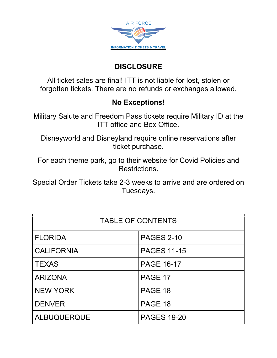

## **DISCLOSURE**

All ticket sales are final! ITT is not liable for lost, stolen or forgotten tickets. There are no refunds or exchanges allowed.

## **No Exceptions!**

Military Salute and Freedom Pass tickets require Military ID at the ITT office and Box Office.

Disneyworld and Disneyland require online reservations after ticket purchase.

For each theme park, go to their website for Covid Policies and Restrictions.

Special Order Tickets take 2-3 weeks to arrive and are ordered on Tuesdays.

| <b>TABLE OF CONTENTS</b> |                    |  |
|--------------------------|--------------------|--|
| <b>FLORIDA</b>           | <b>PAGES 2-10</b>  |  |
| <b>CALIFORNIA</b>        | <b>PAGES 11-15</b> |  |
| <b>TEXAS</b>             | <b>PAGE 16-17</b>  |  |
| <b>ARIZONA</b>           | PAGE 17            |  |
| <b>NEW YORK</b>          | PAGE 18            |  |
| <b>DENVER</b>            | PAGE 18            |  |
| <b>ALBUQUERQUE</b>       | <b>PAGES 19-20</b> |  |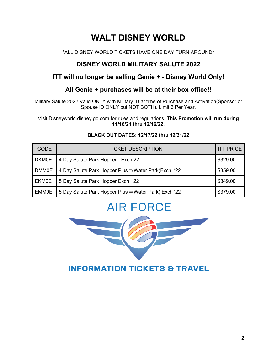# **WALT DISNEY WORLD**

#### \*ALL DISNEY WORLD TICKETS HAVE ONE DAY TURN AROUND\*

#### **DISNEY WORLD MILITARY SALUTE 2022**

#### **ITT will no longer be selling Genie + - Disney World Only!**

#### **All Genie + purchases will be at their box office!!**

Military Salute 2022 Valid ONLY with Military ID at time of Purchase and Activation(Sponsor or Spouse ID ONLY but NOT BOTH). Limit 6 Per Year.

Visit Disneyworld.disney.go.com for rules and regulations. **This Promotion will run during 11/16/21 thru 12/16/22.**

| <b>CODE</b>  | <b>TICKET DESCRIPTION</b>                              | <b>ITT PRICE</b> |
|--------------|--------------------------------------------------------|------------------|
| <b>DKM0E</b> | 4 Day Salute Park Hopper - Exch 22                     | \$329.00         |
| <b>DMM0E</b> | 4 Day Salute Park Hopper Plus = (Water Park) Exch. '22 | \$359.00         |
| <b>EKM0E</b> | 5 Day Salute Park Hopper Exch +22                      | \$349.00         |
| <b>EMM0E</b> | 5 Day Salute Park Hopper Plus = (Water Park) Exch '22  | \$379.00         |

#### **BLACK OUT DATES: 12/17/22 thru 12/31/22**

# **AIR FORCE**

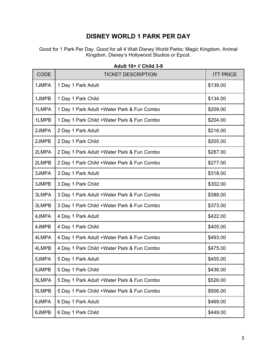#### **DISNEY WORLD 1 PARK PER DAY**

Good for 1 Park Per Day. Good for all 4 Walt Disney World Parks: Magic Kingdom, Animal Kingdom, Disney's Hollywood Studios or Epcot.

| <b>CODE</b> | <b>TICKET DESCRIPTION</b>                   | <b>ITT PRICE</b> |
|-------------|---------------------------------------------|------------------|
| 1JMPA       | 1 Day 1 Park Adult                          | \$139.00         |
| 1JMPB       | 1 Day 1 Park Child                          | \$134.00         |
| 1LMPA       | 1 Day 1 Park Adult + Water Park & Fun Combo | \$209.00         |
| 1LMPB       | 1 Day 1 Park Child +Water Park & Fun Combo  | \$204.00         |
| 2JMPA       | 2 Day 1 Park Adult                          | \$216.00         |
| 2JMPB       | 2 Day 1 Park Child                          | \$205.00         |
| 2LMPA       | 2 Day 1 Park Adult +Water Park & Fun Combo  | \$287.00         |
| 2LMPB       | 2 Day 1 Park Child + Water Park & Fun Combo | \$277.00         |
| 3JMPA       | 3 Day 1 Park Adult                          | \$318.00         |
| 3JMPB       | 3 Day 1 Park Child                          | \$302.00         |
| 3LMPA       | 3 Day 1 Park Adult + Water Park & Fun Combo | \$388.00         |
| 3LMPB       | 3 Day 1 Park Child + Water Park & Fun Combo | \$373.00         |
| 4JMPA       | 4 Day 1 Park Adult                          | \$422.00         |
| 4JMPB       | 4 Day 1 Park Child                          | \$405.00         |
| 4LMPA       | 4 Day 1 Park Adult + Water Park & Fun Combo | \$493.00         |
| 4LMPB       | 4 Day 1 Park Child + Water Park & Fun Combo | \$475.00         |
| 5JMPA       | 5 Day 1 Park Adult                          | \$455.00         |
| 5JMPB       | 5 Day 1 Park Child                          | \$436.00         |
| 5LMPA       | 5 Day 1 Park Adult + Water Park & Fun Combo | \$526.00         |
| 5LMPB       | 5 Day 1 Park Child +Water Park & Fun Combo  | \$506.00         |
| 6JMPA       | 6 Day 1 Park Adult                          | \$469.00         |
| 6JMPB       | 6 Day 1 Park Child                          | \$449.00         |

#### **Adult 10+ // Child 3-9**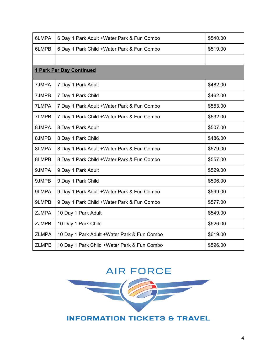| 6LMPA        | 6 Day 1 Park Adult + Water Park & Fun Combo | \$540.00 |
|--------------|---------------------------------------------|----------|
| 6LMPB        | 6 Day 1 Park Child + Water Park & Fun Combo | \$519.00 |
|              |                                             |          |
|              | <b>1 Park Per Day Continued</b>             |          |
| 7JMPA        | 7 Day 1 Park Adult                          | \$482.00 |
| 7JMPB        | 7 Day 1 Park Child                          | \$462.00 |
| 7LMPA        | 7 Day 1 Park Adult +Water Park & Fun Combo  | \$553.00 |
| 7LMPB        | 7 Day 1 Park Child +Water Park & Fun Combo  | \$532.00 |
| 8JMPA        | 8 Day 1 Park Adult                          | \$507.00 |
| 8JMPB        | 8 Day 1 Park Child                          | \$486.00 |
| 8LMPA        | 8 Day 1 Park Adult + Water Park & Fun Combo | \$579.00 |
| 8LMPB        | 8 Day 1 Park Child + Water Park & Fun Combo | \$557.00 |
| 9JMPA        | 9 Day 1 Park Adult                          | \$529.00 |
| 9JMPB        | 9 Day 1 Park Child                          | \$506.00 |
| 9LMPA        | 9 Day 1 Park Adult + Water Park & Fun Combo | \$599.00 |
| 9LMPB        | 9 Day 1 Park Child +Water Park & Fun Combo  | \$577.00 |
| <b>ZJMPA</b> | 10 Day 1 Park Adult                         | \$549.00 |
| <b>ZJMPB</b> | 10 Day 1 Park Child                         | \$526.00 |
| <b>ZLMPA</b> | 10 Day 1 Park Adult +Water Park & Fun Combo | \$619.00 |
| <b>ZLMPB</b> | 10 Day 1 Park Child +Water Park & Fun Combo | \$596.00 |

# **AIR FORCE**

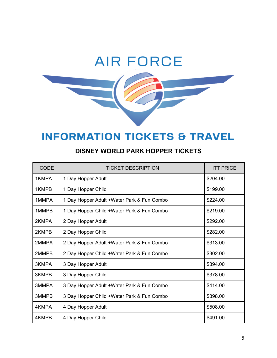# **AIR FORCE**

# **INFORMATION TICKETS & TRAVEL**

| <b>CODE</b> | TICKET DESCRIPTION                          | <b>ITT PRICE</b> |
|-------------|---------------------------------------------|------------------|
| 1KMPA       | 1 Day Hopper Adult                          | \$204.00         |
| 1KMPB       | 1 Day Hopper Child                          | \$199.00         |
| 1MMPA       | 1 Day Hopper Adult + Water Park & Fun Combo | \$224.00         |
| 1MMPB       | 1 Day Hopper Child +Water Park & Fun Combo  | \$219.00         |
| 2KMPA       | 2 Day Hopper Adult                          | \$292.00         |
| 2KMPB       | 2 Day Hopper Child                          | \$282.00         |
| 2MMPA       | 2 Day Hopper Adult +Water Park & Fun Combo  | \$313.00         |
| 2MMPB       | 2 Day Hopper Child +Water Park & Fun Combo  | \$302.00         |
| 3KMPA       | 3 Day Hopper Adult                          | \$394.00         |
| 3KMPB       | 3 Day Hopper Child                          | \$378.00         |
| 3MMPA       | 3 Day Hopper Adult +Water Park & Fun Combo  | \$414.00         |
| 3MMPB       | 3 Day Hopper Child +Water Park & Fun Combo  | \$398.00         |
| 4KMPA       | 4 Day Hopper Adult                          | \$508.00         |
| 4KMPB       | 4 Day Hopper Child                          | \$491.00         |

#### **DISNEY WORLD PARK HOPPER TICKETS**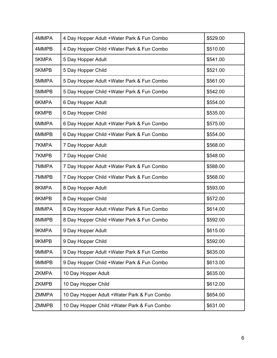| 4MMPA        | 4 Day Hopper Adult + Water Park & Fun Combo  | \$529.00 |
|--------------|----------------------------------------------|----------|
| 4MMPB        | 4 Day Hopper Child +Water Park & Fun Combo   | \$510.00 |
| 5KMPA        | 5 Day Hopper Adult                           | \$541.00 |
| 5KMPB        | 5 Day Hopper Child                           | \$521.00 |
| 5MMPA        | 5 Day Hopper Adult + Water Park & Fun Combo  | \$561.00 |
| 5MMPB        | 5 Day Hopper Child +Water Park & Fun Combo   | \$542.00 |
| 6KMPA        | 6 Day Hopper Adult                           | \$554.00 |
| 6KMPB        | 6 Day Hopper Child                           | \$535.00 |
| 6MMPA        | 6 Day Hopper Adult +Water Park & Fun Combo   | \$575.00 |
| 6MMPB        | 6 Day Hopper Child +Water Park & Fun Combo   | \$554.00 |
| 7KMPA        | 7 Day Hopper Adult                           | \$568.00 |
| 7KMPB        | 7 Day Hopper Child                           | \$548.00 |
| 7MMPA        | 7 Day Hopper Adult + Water Park & Fun Combo  | \$588.00 |
| 7MMPB        | 7 Day Hopper Child +Water Park & Fun Combo   | \$568.00 |
| 8KMPA        | 8 Day Hopper Adult                           | \$593.00 |
| 8KMPB        | 8 Day Hopper Child                           | \$572.00 |
| 8MMPA        | 8 Day Hopper Adult +Water Park & Fun Combo   | \$614.00 |
| 8MMPB        | 8 Day Hopper Child +Water Park & Fun Combo   | \$592.00 |
| 9KMPA        | 9 Day Hopper Adult                           | \$615.00 |
| 9KMPB        | 9 Day Hopper Child                           | \$592.00 |
| 9MMPA        | 9 Day Hopper Adult + Water Park & Fun Combo  | \$635.00 |
| 9MMPB        | 9 Day Hopper Child +Water Park & Fun Combo   | \$613.00 |
| <b>ZKMPA</b> | 10 Day Hopper Adult                          | \$635.00 |
| <b>ZKMPB</b> | 10 Day Hopper Child                          | \$612.00 |
| <b>ZMMPA</b> | 10 Day Hopper Adult + Water Park & Fun Combo | \$654.00 |
| <b>ZMMPB</b> | 10 Day Hopper Child +Water Park & Fun Combo  | \$631.00 |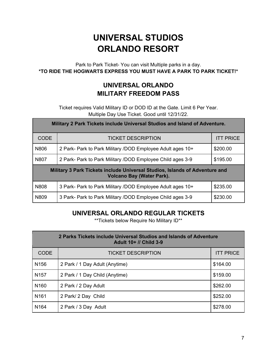# **UNIVERSAL STUDIOS ORLANDO RESORT**

Park to Park Ticket- You can visit Multiple parks in a day. **\*TO RIDE THE HOGWARTS EXPRESS YOU MUST HAVE A PARK TO PARK TICKET!\***

#### **UNIVERSAL ORLANDO MILITARY FREEDOM PASS**

Ticket requires Valid Military ID or DOD ID at the Gate. Limit 6 Per Year. Multiple Day Use Ticket. Good until 12/31/22.

| Military 2 Park Tickets include Universal Studios and Island of Adventure.                                      |                                                            |                  |
|-----------------------------------------------------------------------------------------------------------------|------------------------------------------------------------|------------------|
| <b>CODE</b>                                                                                                     | <b>TICKET DESCRIPTION</b>                                  | <b>ITT PRICE</b> |
| N806                                                                                                            | 2 Park- Park to Park Military /DOD Employee Adult ages 10+ | \$200.00         |
| N807                                                                                                            | 2 Park- Park to Park Military /DOD Employee Child ages 3-9 | \$195.00         |
| Military 3 Park Tickets include Universal Studios, Islands of Adventure and<br><b>Volcano Bay (Water Park).</b> |                                                            |                  |
| N808                                                                                                            | 3 Park- Park to Park Military /DOD Employee Adult ages 10+ | \$235.00         |
| N809                                                                                                            | 3 Park- Park to Park Military /DOD Employee Child ages 3-9 | \$230.00         |

#### **UNIVERSAL ORLANDO REGULAR TICKETS**

\*\*Tickets below Require No Military ID\*\*

| 2 Parks Tickets include Universal Studios and Islands of Adventure<br><b>Adult 10+ // Child 3-9</b> |                                |                  |
|-----------------------------------------------------------------------------------------------------|--------------------------------|------------------|
| <b>CODE</b>                                                                                         | <b>TICKET DESCRIPTION</b>      | <b>ITT PRICE</b> |
| N <sub>156</sub>                                                                                    | 2 Park / 1 Day Adult (Anytime) | \$164.00         |
| N <sub>157</sub>                                                                                    | 2 Park / 1 Day Child (Anytime) | \$159.00         |
| N <sub>160</sub>                                                                                    | 2 Park / 2 Day Adult           | \$262.00         |
| N <sub>161</sub>                                                                                    | 2 Park/ 2 Day Child            | \$252.00         |
| N <sub>164</sub>                                                                                    | 2 Park / 3 Day Adult           | \$278.00         |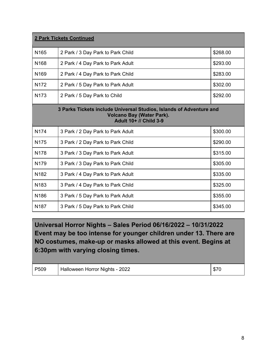| <b>2 Park Tickets Continued</b>                                                                                                   |                                   |          |  |
|-----------------------------------------------------------------------------------------------------------------------------------|-----------------------------------|----------|--|
| N <sub>165</sub>                                                                                                                  | 2 Park / 3 Day Park to Park Child | \$268.00 |  |
| N <sub>168</sub>                                                                                                                  | 2 Park / 4 Day Park to Park Adult | \$293.00 |  |
| N <sub>169</sub>                                                                                                                  | 2 Park / 4 Day Park to Park Child | \$283.00 |  |
| N <sub>172</sub>                                                                                                                  | 2 Park / 5 Day Park to Park Adult | \$302.00 |  |
| N <sub>173</sub>                                                                                                                  | 2 Park / 5 Day Park to Child      | \$292.00 |  |
| 3 Parks Tickets include Universal Studios, Islands of Adventure and<br><b>Volcano Bay (Water Park).</b><br>Adult 10+ // Child 3-9 |                                   |          |  |
| N <sub>174</sub>                                                                                                                  | 3 Park / 2 Day Park to Park Adult | \$300.00 |  |
| N175                                                                                                                              | 3 Park / 2 Day Park to Park Child | \$290.00 |  |
| N178                                                                                                                              | 3 Park / 3 Day Park to Park Adult | \$315.00 |  |
| N179                                                                                                                              | 3 Park / 3 Day Park to Park Child | \$305.00 |  |
| N <sub>182</sub>                                                                                                                  | 3 Park / 4 Day Park to Park Adult | \$335.00 |  |
| N <sub>183</sub>                                                                                                                  | 3 Park / 4 Day Park to Park Child | \$325.00 |  |
| N186                                                                                                                              | 3 Park / 5 Day Park to Park Adult | \$355.00 |  |
| N <sub>187</sub>                                                                                                                  | 3 Park / 5 Day Park to Park Child | \$345.00 |  |

**Universal Horror Nights – Sales Period 06/16/2022 – 10/31/2022 Event may be too intense for younger children under 13. There are NO costumes, make-up or masks allowed at this event. Begins at 6:30pm with varying closing times.**

| P509 | Halloween Horror Nights - 2022 | \$70 |
|------|--------------------------------|------|
|      |                                |      |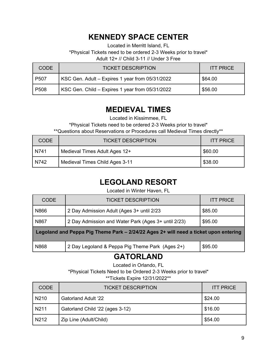## **KENNEDY SPACE CENTER**

Located in Merritt Island, FL

\*Physical Tickets need to be ordered 2-3 Weeks prior to travel\*

Adult 12+ // Child 3-11 // Under 3 Free

| CODE             | <b>TICKET DESCRIPTION</b>                       | <b>ITT PRICE</b> |
|------------------|-------------------------------------------------|------------------|
| P <sub>507</sub> | KSC Gen. Adult - Expires 1 year from 05/31/2022 | \$64.00          |
| P <sub>508</sub> | KSC Gen. Child - Expires 1 year from 05/31/2022 | \$56.00          |

## **MEDIEVAL TIMES**

Located in Kissimmee, FL

\*Physical Tickets need to be ordered 2-3 Weeks prior to travel\*

\*\*Questions about Reservations or Procedures call Medieval Times directly\*\*

| <b>CODE</b> | <b>TICKET DESCRIPTION</b>      | <b>ITT PRICE</b> |
|-------------|--------------------------------|------------------|
| N741        | Medieval Times Adult Ages 12+  | \$60.00          |
| N742        | Medieval Times Child Ages 3-11 | \$38.00          |

## **LEGOLAND RESORT**

Located in Winter Haven, FL

| <b>CODE</b>                                                                          | <b>TICKET DESCRIPTION</b>                           | <b>ITT PRICE</b> |  |
|--------------------------------------------------------------------------------------|-----------------------------------------------------|------------------|--|
| N866                                                                                 | 2 Day Admission Adult (Ages 3+ until 2/23           | \$85.00          |  |
| N867                                                                                 | 2 Day Admission and Water Park (Ages 3+ until 2/23) | \$95.00          |  |
| Legoland and Peppa Pig Theme Park – 2/24/22 Ages 2+ will need a ticket upon entering |                                                     |                  |  |
| N868                                                                                 | 2 Day Legoland & Peppa Pig Theme Park (Ages 2+)     | \$95.00          |  |

## **GATORLAND**

Located in Orlando, FL

\*Physical Tickets Need to be Ordered 2-3 Weeks prior to travel\*

\*\*Tickets Expire 12/31/2022\*\*

| <b>CODE</b>       | <b>TICKET DESCRIPTION</b>       | <b>ITT PRICE</b> |
|-------------------|---------------------------------|------------------|
| N <sub>2</sub> 10 | <b>Gatorland Adult '22</b>      | \$24.00          |
| N <sub>2</sub> 11 | Gatorland Child '22 (ages 3-12) | \$16.00          |
| N <sub>2</sub> 12 | Zip Line (Adult/Child)          | \$54.00          |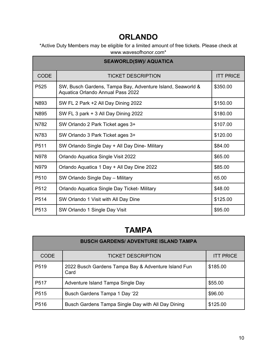## **ORLANDO**

\*Active Duty Members may be eligible for a limited amount of free tickets. Please check at www.wavesofhonor.com\*

| <b>SEAWORLD(SW)/ AQUATICA</b> |                                                                                                 |                  |  |
|-------------------------------|-------------------------------------------------------------------------------------------------|------------------|--|
| <b>CODE</b>                   | <b>TICKET DESCRIPTION</b>                                                                       | <b>ITT PRICE</b> |  |
| P <sub>525</sub>              | SW, Busch Gardens, Tampa Bay, Adventure Island, Seaworld &<br>Aquatica Orlando Annual Pass 2022 | \$350.00         |  |
| N893                          | SW FL 2 Park +2 All Day Dining 2022                                                             | \$150.00         |  |
| N895                          | SW FL 3 park + 3 All Day Dining 2022                                                            | \$180.00         |  |
| N782                          | SW Orlando 2 Park Ticket ages 3+                                                                | \$107.00         |  |
| N783                          | SW Orlando 3 Park Ticket ages 3+                                                                | \$120.00         |  |
| P <sub>511</sub>              | SW Orlando Single Day + All Day Dine- Military                                                  | \$84.00          |  |
| N978                          | Orlando Aquatica Single Visit 2022                                                              | \$65.00          |  |
| N979                          | Orlando Aquatica 1 Day + All Day Dine 2022                                                      | \$85.00          |  |
| P510                          | SW Orlando Single Day - Military                                                                | 65.00            |  |
| P <sub>5</sub> 12             | Orlando Aquatica Single Day Ticket- Military                                                    | \$48.00          |  |
| P514                          | SW Orlando 1 Visit with All Day Dine                                                            | \$125.00         |  |
| P <sub>513</sub>              | SW Orlando 1 Single Day Visit                                                                   | \$95.00          |  |

## **TAMPA**

| <b>BUSCH GARDENS/ ADVENTURE ISLAND TAMPA</b> |                                                             |                  |  |
|----------------------------------------------|-------------------------------------------------------------|------------------|--|
| <b>CODE</b>                                  | <b>TICKET DESCRIPTION</b>                                   | <b>ITT PRICE</b> |  |
| P <sub>519</sub>                             | 2022 Busch Gardens Tampa Bay & Adventure Island Fun<br>Card | \$185.00         |  |
| P517                                         | Adventure Island Tampa Single Day                           | \$55.00          |  |
| P <sub>515</sub>                             | Busch Gardens Tampa 1 Day '22                               | \$96.00          |  |
| P516                                         | Busch Gardens Tampa Single Day with All Day Dining          | \$125.00         |  |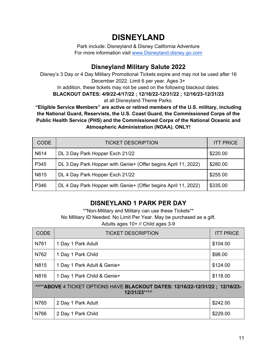## **DISNEYLAND**

Park include: Disneyland & Disney California Adventure For more information visit [www.Disneyland.disney.go.com](http://www.disneyland.disney.go.com/)

#### **Disneyland Military Salute 2022**

Disney's 3 Day or 4 Day Military Promotional Tickets expire and may not be used after 16 December 2022. Limit 6 per year. Ages 3+ In addition, these tickets may not be used on the following blackout dates: **BLACKOUT DATES: 4/9/22-4/17/22 ; 12/16/22-12/31/22 ; 12/16/23-12/31/23** at all Disneyland Theme Parks.

**"Eligible Service Members" are active or retired members of the U.S. military, including the National Guard, Reservists, the U.S. Coast Guard, the Commissioned Corps of the Public Health Service (PHS) and the Commissioned Corps of the National Oceanic and Atmospheric Administration (NOAA). ONLY!**

| <b>CODE</b> | <b>TICKET DESCRIPTION</b>                                      | <b>ITT PRICE</b> |
|-------------|----------------------------------------------------------------|------------------|
| N614        | DL 3 Day Park Hopper Exch 21/22                                | \$220.00         |
| P345        | DL 3 Day Park Hopper with Genie+ (Offer begins April 11, 2022) | \$280.00         |
| N615        | DL 4 Day Park Hopper Exch 21/22                                | \$255.00         |
| P346        | DL 4 Day Park Hopper with Genie+ (Offer begins April 11, 2022) | \$335.00         |

#### **DISNEYLAND 1 PARK PER DAY**

\*\*Non-Military and Military can use these Tickets\*\* No Military ID Needed. No Limit Per Year. May be purchased as a gift. Adults ages 10+ // Child ages 3-9

| <b>CODE</b>                                                                                   | <b>TICKET DESCRIPTION</b>   | <b>ITT PRICE</b> |  |
|-----------------------------------------------------------------------------------------------|-----------------------------|------------------|--|
| N761                                                                                          | 1 Day 1 Park Adult          | \$104.00         |  |
| N762                                                                                          | 1 Day 1 Park Child          | \$98.00          |  |
| N815                                                                                          | 1 Day 1 Park Adult & Genie+ | \$124.00         |  |
| N816                                                                                          | 1 Day 1 Park Child & Genie+ | \$118.00         |  |
| ^^** ABOVE 4 TICKET OPTIONS HAVE BLACKOUT DATES: 12/16/22-12/31/22; 12/16/23-<br>12/31/23**^^ |                             |                  |  |
| N765                                                                                          | 2 Day 1 Park Adult          | \$242.00         |  |
| N766                                                                                          | 2 Day 1 Park Child          | \$229.00         |  |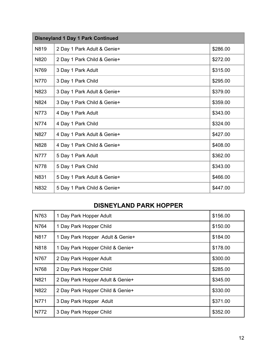| <b>Disneyland 1 Day 1 Park Continued</b> |                             |          |  |
|------------------------------------------|-----------------------------|----------|--|
| N819                                     | 2 Day 1 Park Adult & Genie+ | \$286.00 |  |
| N820                                     | 2 Day 1 Park Child & Genie+ | \$272.00 |  |
| N769                                     | 3 Day 1 Park Adult          | \$315.00 |  |
| N770                                     | 3 Day 1 Park Child          | \$295.00 |  |
| N823                                     | 3 Day 1 Park Adult & Genie+ | \$379.00 |  |
| N824                                     | 3 Day 1 Park Child & Genie+ | \$359.00 |  |
| N773                                     | 4 Day 1 Park Adult          | \$343.00 |  |
| N774                                     | 4 Day 1 Park Child          | \$324.00 |  |
| N827                                     | 4 Day 1 Park Adult & Genie+ | \$427.00 |  |
| N828                                     | 4 Day 1 Park Child & Genie+ | \$408.00 |  |
| <b>N777</b>                              | 5 Day 1 Park Adult          | \$362.00 |  |
| N778                                     | 5 Day 1 Park Child          | \$343.00 |  |
| N831                                     | 5 Day 1 Park Adult & Genie+ | \$466.00 |  |
| N832                                     | 5 Day 1 Park Child & Genie+ | \$447.00 |  |

#### **DISNEYLAND PARK HOPPER**

| N763 | 1 Day Park Hopper Adult          | \$156.00 |
|------|----------------------------------|----------|
| N764 | 1 Day Park Hopper Child          | \$150.00 |
| N817 | 1 Day Park Hopper Adult & Genie+ | \$184.00 |
| N818 | 1 Day Park Hopper Child & Genie+ | \$178.00 |
| N767 | 2 Day Park Hopper Adult          | \$300.00 |
| N768 | 2 Day Park Hopper Child          | \$285.00 |
| N821 | 2 Day Park Hopper Adult & Genie+ | \$345.00 |
| N822 | 2 Day Park Hopper Child & Genie+ | \$330.00 |
| N771 | 3 Day Park Hopper Adult          | \$371.00 |
| N772 | 3 Day Park Hopper Child          | \$352.00 |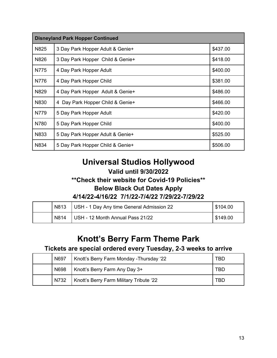| <b>Disneyland Park Hopper Continued</b> |                                     |          |  |
|-----------------------------------------|-------------------------------------|----------|--|
| N825                                    | 3 Day Park Hopper Adult & Genie+    | \$437.00 |  |
| N826                                    | 3 Day Park Hopper Child & Genie+    | \$418.00 |  |
| N775                                    | 4 Day Park Hopper Adult             | \$400.00 |  |
| N776                                    | 4 Day Park Hopper Child             | \$381.00 |  |
| N829                                    | 4 Day Park Hopper Adult & Genie+    | \$486.00 |  |
| N830                                    | Day Park Hopper Child & Genie+<br>4 | \$466.00 |  |
| N779                                    | 5 Day Park Hopper Adult             | \$420.00 |  |
| N780                                    | 5 Day Park Hopper Child             | \$400.00 |  |
| N833                                    | 5 Day Park Hopper Adult & Genie+    | \$525.00 |  |
| N834                                    | 5 Day Park Hopper Child & Genie+    | \$506.00 |  |

## **Universal Studios Hollywood**

#### **Valid until 9/30/2022**

#### **\*\*Check their website for Covid-19 Policies\*\***

#### **Below Black Out Dates Apply**

#### **4/14/22-4/16/22 7/1/22-7/4/22 7/29/22-7/29/22**

| N813 | USH - 1 Day Any time General Admission 22 | \$104.00     |
|------|-------------------------------------------|--------------|
| N814 | USH - 12 Month Annual Pass 21/22          | $1$ \$149.00 |

## **Knott's Berry Farm Theme Park**

#### **Tickets are special ordered every Tuesday, 2-3 weeks to arrive**

| N697 | Knott's Berry Farm Monday - Thursday '22 | TBD |
|------|------------------------------------------|-----|
| N698 | Knott's Berry Farm Any Day 3+            | TBD |
| N732 | Knott's Berry Farm Military Tribute '22  | TBD |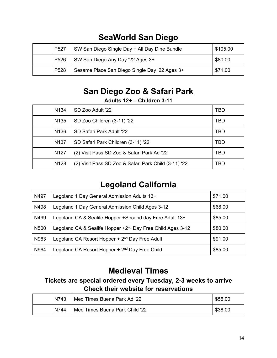| P <sub>527</sub> | SW San Diego Single Day + All Day Dine Bundle | \$105.00 |
|------------------|-----------------------------------------------|----------|
| P <sub>526</sub> | SW San Diego Any Day '22 Ages 3+              | \$80.00  |
| P <sub>528</sub> | Sesame Place San Diego Single Day '22 Ages 3+ | \$71.00  |

# **SeaWorld San Diego**

## **San Diego Zoo & Safari Park**

#### **Adults 12+ – Children 3-11**

| N <sub>134</sub> | SD Zoo Adult '22                                     | TBD        |
|------------------|------------------------------------------------------|------------|
| N <sub>135</sub> | SD Zoo Children (3-11) '22                           | TBD        |
| N <sub>136</sub> | SD Safari Park Adult '22                             | <b>TBD</b> |
| N <sub>137</sub> | SD Safari Park Children (3-11) '22                   | <b>TBD</b> |
| N <sub>127</sub> | (2) Visit Pass SD Zoo & Safari Park Ad '22           | TBD        |
| N <sub>128</sub> | (2) Visit Pass SD Zoo & Safari Park Child (3-11) '22 | TBD        |

# **Legoland California**

| N497             | Legoland 1 Day General Admission Adults 13+                            | \$71.00 |
|------------------|------------------------------------------------------------------------|---------|
| N498             | Legoland 1 Day General Admission Child Ages 3-12                       | \$68.00 |
| N499             | Legoland CA & Sealife Hopper + Second day Free Adult 13+               | \$85.00 |
| N <sub>500</sub> | Legoland CA & Sealife Hopper +2 <sup>nd</sup> Day Free Child Ages 3-12 | \$80.00 |
| N963             | Legoland CA Resort Hopper + 2 <sup>nd</sup> Day Free Adult             | \$91.00 |
| N964             | Legoland CA Resort Hopper + 2 <sup>nd</sup> Day Free Child             | \$85.00 |

## **Medieval Times**

#### **Tickets are special ordered every Tuesday, 2-3 weeks to arrive Check their website for reservations**

| N743 | Med Times Buena Park Ad '22    | \$55.00 |
|------|--------------------------------|---------|
| N744 | Med Times Buena Park Child '22 | \$38.00 |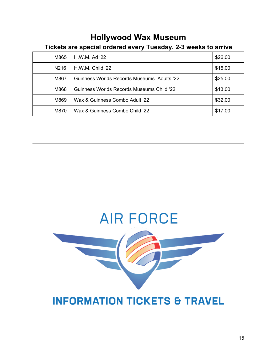## **Hollywood Wax Museum**

#### **Tickets are special ordered every Tuesday, 2-3 weeks to arrive**

| M865 | H.W.M. Ad '22                              | \$26.00 |
|------|--------------------------------------------|---------|
| N216 | $H.W.M.$ Child '22                         | \$15.00 |
| M867 | Guinness Worlds Records Museums Adults '22 | \$25.00 |
| M868 | Guinness Worlds Records Museums Child '22  | \$13.00 |
| M869 | Wax & Guinness Combo Adult '22             | \$32.00 |
| M870 | Wax & Guinness Combo Child '22             | \$17.00 |



# **INFORMATION TICKETS & TRAVEL**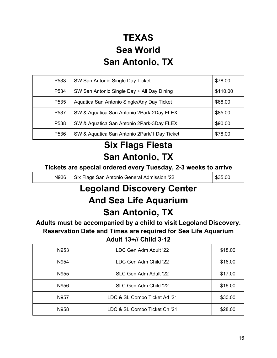# **TEXAS Sea World San Antonio, TX**

| P <sub>533</sub> | SW San Antonio Single Day Ticket             | \$78.00  |
|------------------|----------------------------------------------|----------|
| P534             | SW San Antonio Single Day + All Day Dining   | \$110.00 |
| P <sub>535</sub> | Aquatica San Antonio Single/Any Day Ticket   | \$68.00  |
| P <sub>537</sub> | SW & Aquatica San Antonio 2Park-2Day FLEX    | \$85.00  |
| P <sub>538</sub> | SW & Aquatica San Antonio 2Park-3Day FLEX    | \$90.00  |
| P <sub>536</sub> | SW & Aquatica San Antonio 2Park/1 Day Ticket | \$78.00  |

# **Six Flags Fiesta San Antonio, TX**

#### **Tickets are special ordered every Tuesday, 2-3 weeks to arrive**

|  | N936 | Six Flags San Antonio General Admission '22 | \$35.00 |
|--|------|---------------------------------------------|---------|
|--|------|---------------------------------------------|---------|

# **Legoland Discovery Center And Sea Life Aquarium San Antonio, TX**

**Adults must be accompanied by a child to visit Legoland Discovery. Reservation Date and Times are required for Sea Life Aquarium Adult 13+// Child 3-12**

| N953 | LDC Gen Adm Adult '22        | \$18.00 |
|------|------------------------------|---------|
| N954 | LDC Gen Adm Child '22        | \$16.00 |
| N955 | SLC Gen Adm Adult '22        | \$17.00 |
| N956 | SLC Gen Adm Child '22        | \$16.00 |
| N957 | LDC & SL Combo Ticket Ad '21 | \$30.00 |
| N958 | LDC & SL Combo Ticket Ch '21 | \$28.00 |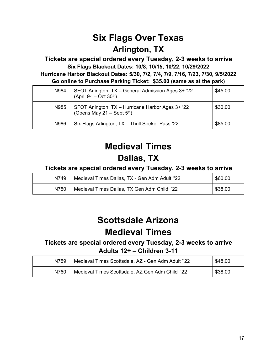# **Six Flags Over Texas Arlington, TX**

**Tickets are special ordered every Tuesday, 2-3 weeks to arrive Six Flags Blackout Dates: 10/8, 10/15, 10/22, 10/29/2022 Hurricane Harbor Blackout Dates: 5/30, 7/2, 7/4, 7/9, 7/16, 7/23, 7/30, 9/5/2022 Go online to Purchase Parking Ticket: \$35.00 (same as at the park)**

| N984 | SFOT Arlington, TX - General Admission Ages 3+ '22<br>(April $9^{th}$ – Oct 30 <sup>th</sup> ) | \$45.00 |
|------|------------------------------------------------------------------------------------------------|---------|
| N985 | SFOT Arlington, TX - Hurricane Harbor Ages 3+ '22<br>(Opens May 21 – Sept $5th$ )              | \$30.00 |
| N986 | Six Flags Arlington, TX - Thrill Seeker Pass '22                                               | \$85.00 |

# **Medieval Times Dallas, TX**

#### **Tickets are special ordered every Tuesday, 2-3 weeks to arrive**

| N749 | Medieval Times Dallas, TX - Gen Adm Adult "22 | \$60.00 |
|------|-----------------------------------------------|---------|
| N750 | Medieval Times Dallas, TX Gen Adm Child '22   | \$38.00 |

# **Scottsdale Arizona Medieval Times**

#### **Tickets are special ordered every Tuesday, 2-3 weeks to arrive Adults 12+ – Children 3-11**

| N759 | Medieval Times Scottsdale, AZ - Gen Adm Adult "22 | \$48.00 |
|------|---------------------------------------------------|---------|
| N760 | Medieval Times Scottsdale, AZ Gen Adm Child '22   | \$38.00 |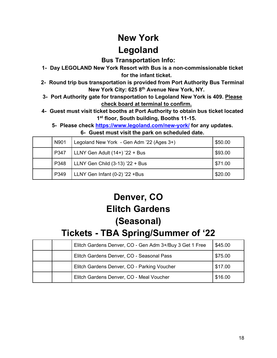# **New York Legoland**

#### **Bus Transportation Info:**

- **1- Day LEGOLAND New York Resort with Bus is a non-commissionable ticket for the infant ticket.**
- **2- Round trip bus transportation is provided from Port Authority Bus Terminal New York City: 625 8th Avenue New York, NY.**
- **3- Port Authority gate for transportation to Legoland New York is 409. Please check board at terminal to confirm.**
- **4- Guest must visit ticket booths at Port Authority to obtain bus ticket located 1st floor, South building, Booths 11-15.**
	- **5- Please check<https://www.legoland.com/new-york/> for any updates. 6- Guest must visit the park on scheduled date.**

| N901 | Legoland New York - Gen Adm '22 (Ages 3+) | \$50.00 |
|------|-------------------------------------------|---------|
| P347 | LLNY Gen Adult (14+) '22 + Bus            | \$93.00 |
| P348 | LLNY Gen Child (3-13) '22 + Bus           | \$71.00 |
| P349 | LLNY Gen Infant (0-2) '22 +Bus            | \$20.00 |

# **Denver, CO Elitch Gardens**

# **(Seasonal)**

# **Tickets - TBA Spring/Summer of '22**

|  | Elitch Gardens Denver, CO - Gen Adm 3+/Buy 3 Get 1 Free | \$45.00 |
|--|---------------------------------------------------------|---------|
|  | Elitch Gardens Denver, CO - Seasonal Pass               | \$75.00 |
|  | Elitch Gardens Denver, CO - Parking Voucher             | \$17.00 |
|  | Elitch Gardens Denver, CO - Meal Voucher                | \$16.00 |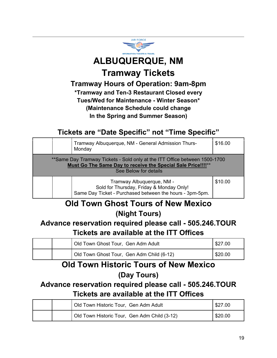

# **ALBUQUERQUE, NM Tramway Tickets**

**Tramway Hours of Operation: 9am-8pm**

**\*Tramway and Ten-3 Restaurant Closed every Tues/Wed for Maintenance - Winter Season\* (Maintenance Schedule could change In the Spring and Summer Season)**

## **Tickets are "Date Specific" not "Time Specific"**

|                                                                                                                                                                     |  | Tramway Albuquerque, NM - General Admission Thurs-<br>Monday                                                                      | \$16.00 |  |
|---------------------------------------------------------------------------------------------------------------------------------------------------------------------|--|-----------------------------------------------------------------------------------------------------------------------------------|---------|--|
| **Same Day Tramway Tickets - Sold only at the ITT Office between 1500-1700<br>Must Go The Same Day to receive the Special Sale Price!!!!**<br>See Below for details |  |                                                                                                                                   |         |  |
|                                                                                                                                                                     |  | Tramway Albuquerque, NM -<br>Sold for Thursday, Friday & Monday Only!<br>Same Day Ticket - Purchased between the hours - 3pm-5pm. | \$10.00 |  |

## **Old Town Ghost Tours of New Mexico (Night Tours)**

## **Advance reservation required please call - 505.246.TOUR Tickets are available at the ITT Offices**

|  | Old Town Ghost Tour, Gen Adm Adult        | \$27.00 |
|--|-------------------------------------------|---------|
|  | Old Town Ghost Tour, Gen Adm Child (6-12) | \$20.00 |

# **Old Town Historic Tours of New Mexico (Day Tours)**

## **Advance reservation required please call - 505.246.TOUR Tickets are available at the ITT Offices**

|  | Old Town Historic Tour, Gen Adm Adult        | \$27.00 |
|--|----------------------------------------------|---------|
|  | Old Town Historic Tour, Gen Adm Child (3-12) | \$20.00 |